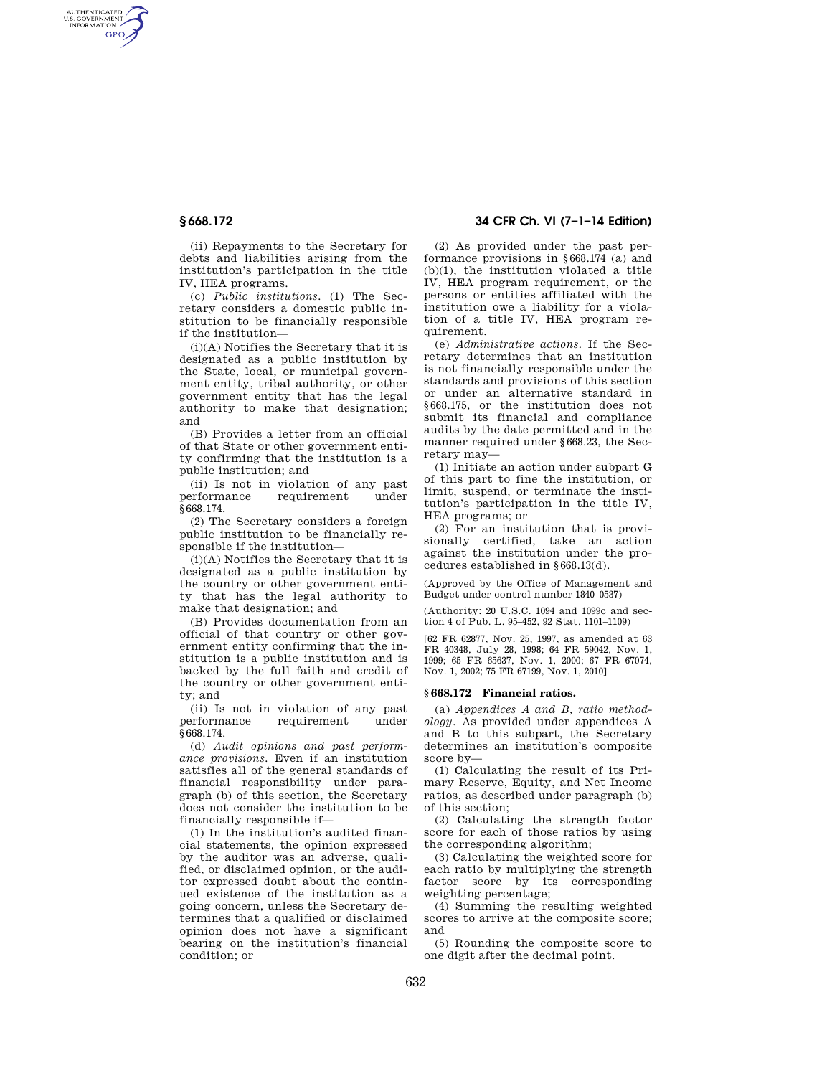AUTHENTICATED<br>U.S. GOVERNMENT<br>INFORMATION GPO

> (ii) Repayments to the Secretary for debts and liabilities arising from the institution's participation in the title IV, HEA programs.

> (c) *Public institutions.* (1) The Secretary considers a domestic public institution to be financially responsible if the institution—

> (i)(A) Notifies the Secretary that it is designated as a public institution by the State, local, or municipal government entity, tribal authority, or other government entity that has the legal authority to make that designation; and

> (B) Provides a letter from an official of that State or other government entity confirming that the institution is a public institution; and

> (ii) Is not in violation of any past performance requirement under §668.174.

> (2) The Secretary considers a foreign public institution to be financially responsible if the institution—

> (i)(A) Notifies the Secretary that it is designated as a public institution by the country or other government entity that has the legal authority to make that designation; and

> (B) Provides documentation from an official of that country or other government entity confirming that the institution is a public institution and is backed by the full faith and credit of the country or other government entity; and

> (ii) Is not in violation of any past performance requirement under §668.174.

(d) *Audit opinions and past performance provisions.* Even if an institution satisfies all of the general standards of financial responsibility under paragraph (b) of this section, the Secretary does not consider the institution to be financially responsible if—

(1) In the institution's audited financial statements, the opinion expressed by the auditor was an adverse, qualified, or disclaimed opinion, or the auditor expressed doubt about the continued existence of the institution as a going concern, unless the Secretary determines that a qualified or disclaimed opinion does not have a significant bearing on the institution's financial condition; or

# **§ 668.172 34 CFR Ch. VI (7–1–14 Edition)**

(2) As provided under the past performance provisions in §668.174 (a) and (b)(1), the institution violated a title IV, HEA program requirement, or the persons or entities affiliated with the institution owe a liability for a violation of a title IV, HEA program requirement.

(e) *Administrative actions.* If the Secretary determines that an institution is not financially responsible under the standards and provisions of this section or under an alternative standard in §668.175, or the institution does not submit its financial and compliance audits by the date permitted and in the manner required under §668.23, the Secretary may—

(1) Initiate an action under subpart G of this part to fine the institution, or limit, suspend, or terminate the institution's participation in the title IV, HEA programs; or

(2) For an institution that is provisionally certified, take an action against the institution under the procedures established in §668.13(d).

(Approved by the Office of Management and Budget under control number 1840–0537)

(Authority: 20 U.S.C. 1094 and 1099c and section 4 of Pub. L. 95–452, 92 Stat. 1101–1109)

[62 FR 62877, Nov. 25, 1997, as amended at 63 FR 40348, July 28, 1998; 64 FR 59042, Nov. 1, 1999; 65 FR 65637, Nov. 1, 2000; 67 FR 67074, Nov. 1, 2002; 75 FR 67199, Nov. 1, 2010]

## **§ 668.172 Financial ratios.**

(a) *Appendices A and B, ratio methodology.* As provided under appendices A and B to this subpart, the Secretary determines an institution's composite score by—

(1) Calculating the result of its Primary Reserve, Equity, and Net Income ratios, as described under paragraph (b) of this section;

(2) Calculating the strength factor score for each of those ratios by using the corresponding algorithm;

(3) Calculating the weighted score for each ratio by multiplying the strength factor score by its corresponding weighting percentage;

(4) Summing the resulting weighted scores to arrive at the composite score; and

(5) Rounding the composite score to one digit after the decimal point.